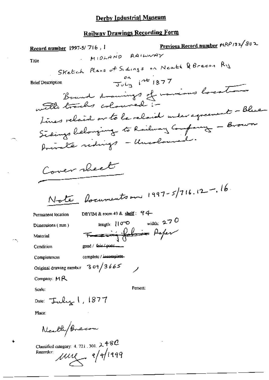## **Railway Drawings Recording Form**

Previous Record number MRP 132/802 Record number 1997-5/716, I MIDLAND RAILWAY Title Sketch Plans of Sidings on Neath & Brecon Ry  $\frac{en}{Juh}$   $145/377$ **Brief Description** Bound drawings of marious location Lines relained or to be relaid under agreement - Blue-Sidings belonging to Railway Company - Brown Private ridings - Uncoloured. Cover rheet Note foruments on  $1997 - 5/716.12 - .16$ DBYIM & room 49 & shelf: 94 Permanent location width:  $2.70$ length:  $100$ Dimensions (mm) Tracing folio Paper Material good / fair / poor........ Condition complete / incomplete. Completencss Original drawing number  $309/3665$ Company: MR Person: Scale: Date:  $\tau_{\text{ulux}}$  1, 1877 Place: Neath/Brecon

Classified category: 4, 721, 301,  $2.480$  $\mu$ ung a/a/1999 Recorder: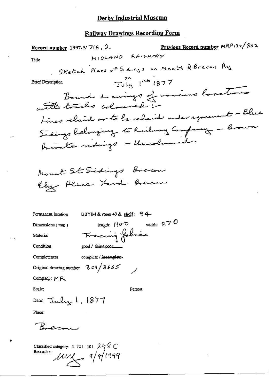| Previous Record number $HRP/32/802$<br>Record number 1997-5/7(6, 2    |  |
|-----------------------------------------------------------------------|--|
| MIDLAND RAILWAY<br>Title                                              |  |
| Sketch Plans of Sidings on Neath & Breeon Ry                          |  |
| $\frac{30}{40}$ $\frac{1}{10}$ 1877<br><b>Brief Description</b>       |  |
| Bound drawings of novious locations                                   |  |
| with tracks coloured i-                                               |  |
| Lines relaine on to be relaid under agreement - Blue                  |  |
| Sidings belonging to Railway Company - Brown                          |  |
| Annalte rediges - Uncoloured.                                         |  |
|                                                                       |  |
| Mount St Sidings Brecon                                               |  |
| Ely Place Yard Brecon                                                 |  |
|                                                                       |  |
| DBYIM & room 49 & shelf: $94-$<br>Permanent location                  |  |
| length: $10^{\circ}$ width: 270<br>Dimensions $(mn)$                  |  |
| Tracing fabric<br>Material                                            |  |
| Condition<br>good / fair / 0001                                       |  |
| Completeness<br>complete / incomplete.                                |  |
| Original drawing number 3 o 9 $/$ 3 6 6 $\leq$                        |  |
| Company: $M R$                                                        |  |
| Scale:<br>Person:                                                     |  |
| Date: Tuly 1, $1877$                                                  |  |
| Place:                                                                |  |
|                                                                       |  |
| Classified category: 4, 721, 301, $248$ C<br>Recorder:<br>$\mu$ $\mu$ |  |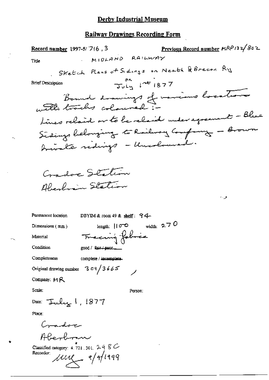Previous Record number MRP132/802 Record number 1997-5/746, 3 MIDLAND RAILWAY Title Stretch Plans of Sidings on Neath & Brecon Ry  $\frac{81}{304}$   $\mu$   $\approx 1877$ **Brief Description** Bound drawings of marious location times relaine on to be relaid under agreement - Blue Steings belonging to Railway Company - Brown brinate redings - Uncoloused. Cradoc Station Alendarin Station و. . Permanent location DBYIM & room 49 & shelf: 94width:  $2.70$ length:  $10^{-2}$ Dimensions (mm) Frecing folice Material Condition good / fair / poor\_ Completeness complete / incomplete. Original drawing number  $3\sqrt{3665}$ Company:  $M R$ Scale: Person; Date:  $\tau$ uly 1, 1877 Place: Commadoren Aberbonn Classified category:  $4.721$ , 301,  $2.48$  C Recorder:  $\mu$  $\mu$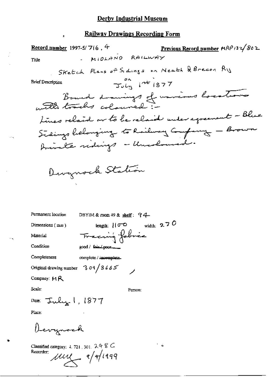Record number 1997-5/716.4 Previous Record number MRP 132/802  $M10kAM0$  RAILWAY Title Sketch Plans of Sidings on Neath & Brecon Ry  $\overline{3u}$   $\overline{u}$   $\overline{u}$   $\overline{u}$   $\overline{1877}$ **Brief Description** Bound drawings of unions locations times relaine on to be relained under agreement - Blue Sidings helonging to Railway Company - Brown Amirale ridings - Uncoloused. Devynock Station Permanent location DBYIM & room 49 & shelf:  $94$ tength:  $|10^{\circ}0 \rangle$  width: 2.7 0 Dimensions (mm) Fraccing fobric Material Condition  $good /$   $Sint$  poor Completeness complete / incomplete. Original drawing number 3 o 9  $/$  3 6 6 5 Company:  $M$  $R$ Scale: Person: Date:  $\tau_{\text{rule}}$ , 1877 Place: Devynock Classified category: 4, 721, 301,  $248$  C Recorder;

 $\mu$ uy (1/1199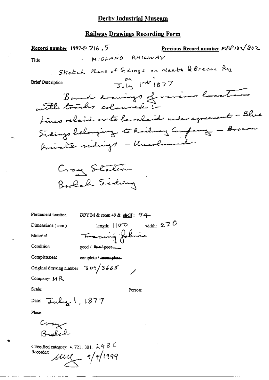Previous Record number HRP132/802 Record number 1997-5/7(6,  $5$ MIDLAND RAILWAY Title Stretch Plans of Sidings on Neath & Bready Ry  $\frac{81}{34}$   $145$  1877 **Brief Description** Bound drawings of marious locations times relaine or to be relaid under agreement - Blue Sidings belonging to Railway Company - Brown Private ridings - Uncoloured. Cray Station Bulch Siding Permanent location DBYIM & room  $49$  & shelf:  $94$ length:  $10^{\circ}$  width: 270 Dimensions  $(mm)$ Tracing folice Material Condition good / Sain poor Completeness complete / incomplete. Original drawing number  $309/3665$ Company: MR Scale: Person: Date:  $T$ uly 1, 1877 Place: Cray بفران ح Classified category: 4, 721, 301,  $248$ Recorder:  $\mu$  $\mu$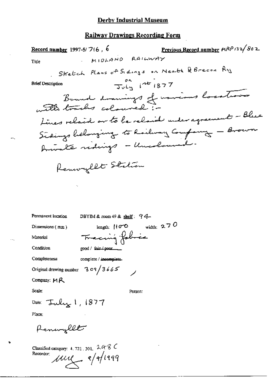### **Railway Drawings Recording Form**

Permanent location

DBYIM & room 49 & shelf: 94.

Dimensions (mm)

width:  $270$ length:  $||\sigma \circ$ Frecuing folice

Condition

Material

Completeness

complete / incomplete.

 $309/3665$ 

good / fair / poor\_

Original drawing number

Company: MR

Scale:

Person:

Date:  $\tau$ uly 1, 1877

Place:

Pennyllt

Classified category: 4, 721, 301,  $248$  C  $\mu\mu$   $\sim$   $\frac{1}{4}$ Recorder:

 $\ddot{}$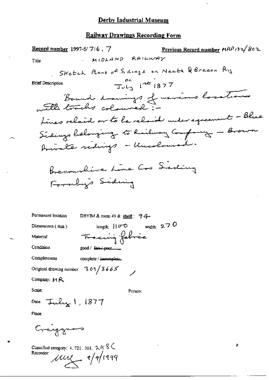# Railway Drawings Recording Form

| Previous Record number $MRP/32/802$<br><b>Record number</b> 1997-5/7(6, 7 |
|---------------------------------------------------------------------------|
| MIDLAND RAILWAY<br>Title                                                  |
| Sketch Plans of Sidings on Neath & Brecon Ry                              |
| $\frac{1}{30ln}$ $1877$<br><b>Brief Description</b>                       |
|                                                                           |
| Bound drawings of marious locations                                       |
| Lines relaine on to be relaid under agreement - Blue                      |
| Sidings helonging to Railway Company - Brown                              |
| Amonte rediges - Uncoloused.                                              |
|                                                                           |
| Beconnaise Line Cos Seding                                                |
| Formby's Siding                                                           |
|                                                                           |
|                                                                           |
| Permanent location<br>DBYIM & room 49 & shelf: $94 -$                     |
| length: $  \sigma \circ \text{width}   2.70$<br>Dimensions $(mn)$         |
| Frecuing fabric<br>Material                                               |
| Condition<br>good / fair / poor_                                          |
| Completeness<br>complete / incomplete                                     |
| Original drawing number $303/3665$                                        |
| Company: MR                                                               |
| Scale:<br>Person;                                                         |
| Date: Tuly 1, 1877                                                        |
| Place:                                                                    |
| Craigynos                                                                 |
| ł<br>Classified category: 4, 721, 301, $248$                              |

Recorder  $\mu$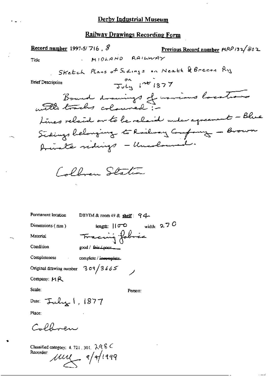Record number 1997-5/716, 8 Previous Record number  $MRP/32/802$ MIDLAND RAILWAY Title Stretch Plans of Sidings on Neath & Brecon Ry  $\overline{3}u\overline{u}$   $\overline{1}u\overline{v}$   $\overline{1}877$ **Brief Description** Bound drawings of marious locations tines relaid or to be relaid under agreement - Blue Sidings belonging to Roilway Company - Brown Private redings - Unadowed. Collins Station Permanent location DBYIM & room 49 & shelf:  $94$ length:  $|10^{\circ}0 \rangle$  width: 2.7 0 Dimensions (mm) Tracing fabric Material Condition good / fair (poor Completeness complete / incomplete. Original drawing number 3 o 9  $/$  3 6 6 5 Company:  $M R$ Scale: Person: Date:  $\tau$ uly 1, 1877 Place:

Calloren

Classified category: 4, 721, 301,  $248$  C Recorder:  $\mu$  $\mu$   $\sim$   $\frac{1}{4}$   $\frac{1}{11}$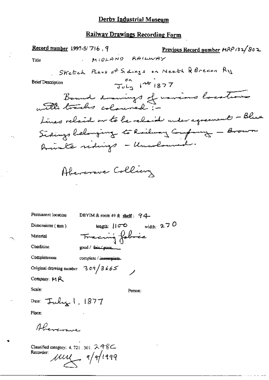### Railway Drawings Recording Form

Previous Record number MRP 132/802 Record number 1997-5/716, 9 MIOLAND RAILWAY Title Sketch Plans of Sidings on Neath & Brecon Ry  $\frac{61}{30}$   $\mu$   $\mu$   $\mu$   $\approx$   $1877$ **Brief Description** Bound drawings of navious locations Lines relaine on to be relaid under agreement - Blue Sidings belonging to Railway Company - Brown hindle redings - Unselsused. Abercrowe Colling Permanent location DBYIM & room 49 & shelf:  $94$ length:  $100$  width: 270 Dimensions (mm)

Completeness

Condition

Material

complete / incomplete.

 $309/3665$ 

good / fair poor

Tracing fobric

Original drawing number

Company: MR

Scale:

Person:

Date:  $\tau$ uly 1, 1877

Place:

Alverman

Classified category: 4, 721, 301, 2 48C Recorder:  $\mu$  $\mu$   $\sim$   $\frac{1}{4}$   $\frac{1}{11}$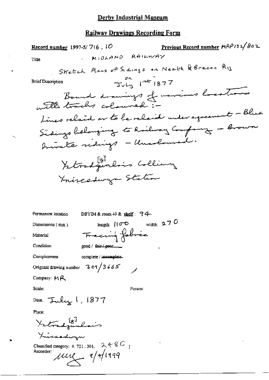Previous Record number MRP132/802 Record number 1997-5/7(6,  $10$ MIOLAND RAILWAY Title Sketch Plans of Sidings on Neath & Brecon Ry  $\frac{20}{30}$   $\frac{1}{100}$   $\frac{1}{100}$   $\frac{1}{1877}$ **Brief Description** Bound drawings of warriors locations Lines related or to be related under agreement - Blue Sidings belonging to Roilway Company - Brown Annalte sidings - Unadowed. Yetrodqualis Colliany Inizeddwyn Station Permanent location DBYIM & room 49 & shelf:  $94$ width:  $270$ length:  $\mathcal{U}(\sigma, \mathbb{C})$ Dimensions (mm) Tracing fobric Material Condition good / fair / poor\_\_\_\_ Completeness complete / incomplete. Original drawing number 3 09/3665 Company: MR Scale: Person: Date:  $\tau$ uly 1, 1877 Place: Yrtradinlais Xincadwyn Classified category: 4, 721, 301,  $2.4 - 8C$ Recorder:  $\mu$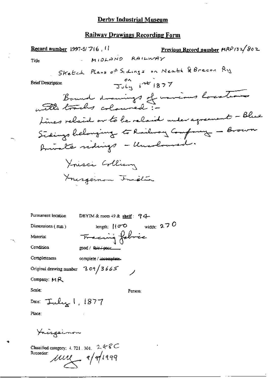$\bar{\mathcal{L}}_1$ 

## Railway Drawings Recording Form

Dimensions (mm)

length:  $|$   $|\sigma$   $\circ$  width: 270 Tracing fabric

Condition

Material

Completeness

complete / incomplete.

good / fair / poor\_

Original drawing number 3 o 9  $/$  3 6 6 5

Company: MR

Scale:

Person:

Date:  $\tau$ uly 1, 1877

Place:

Ynisgeinon

Classified category: 4, 721, 301,  $2.48$ C Recorder:

 $\mu\mu$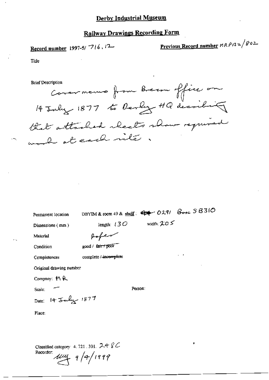Record number 1997-5/716, 12

Previous Record number  $MRP/32/802$ 

Title

**Brief Description** 

Covernance from Breeze office on 14 July 1877 to Devly HQ decribing that attached absolts show required would at each rite

Permanent location

DBYIM & room 49 & shelf:  $44$  O291  $8$ ose  $58310$ 

Dimensions (mm)

width:  $\mathcal{L}O \leq$ length:  $130$ 

Material

Paper

complete / incomplete

Condition

good / fair / poor

Completencss

Original drawing number

Date: 14 July 1877

Company: MR

Scale:

Person:

Place:

Classified category: 4, 721, 301,  $248C$ Recorder:  $\mu\mu$  9/9/1999